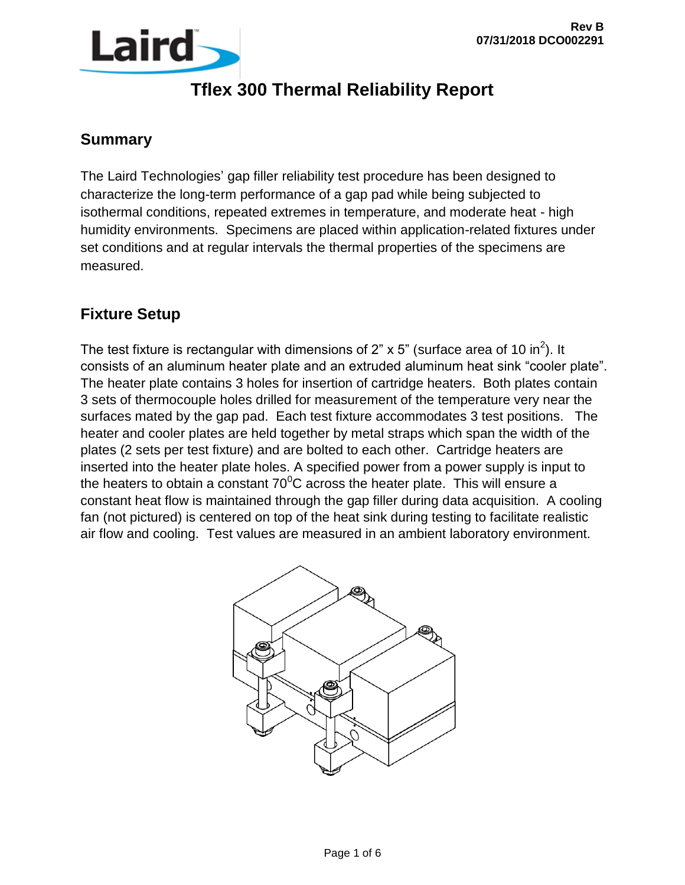

#### **Summary**

The Laird Technologies' gap filler reliability test procedure has been designed to characterize the long-term performance of a gap pad while being subjected to isothermal conditions, repeated extremes in temperature, and moderate heat - high humidity environments. Specimens are placed within application-related fixtures under set conditions and at regular intervals the thermal properties of the specimens are measured.

#### **Fixture Setup**

The test fixture is rectangular with dimensions of 2" x 5" (surface area of 10 in<sup>2</sup>). It consists of an aluminum heater plate and an extruded aluminum heat sink "cooler plate". The heater plate contains 3 holes for insertion of cartridge heaters. Both plates contain 3 sets of thermocouple holes drilled for measurement of the temperature very near the surfaces mated by the gap pad. Each test fixture accommodates 3 test positions. The heater and cooler plates are held together by metal straps which span the width of the plates (2 sets per test fixture) and are bolted to each other. Cartridge heaters are inserted into the heater plate holes. A specified power from a power supply is input to the heaters to obtain a constant  $70^{\circ}$ C across the heater plate. This will ensure a constant heat flow is maintained through the gap filler during data acquisition. A cooling fan (not pictured) is centered on top of the heat sink during testing to facilitate realistic air flow and cooling. Test values are measured in an ambient laboratory environment.

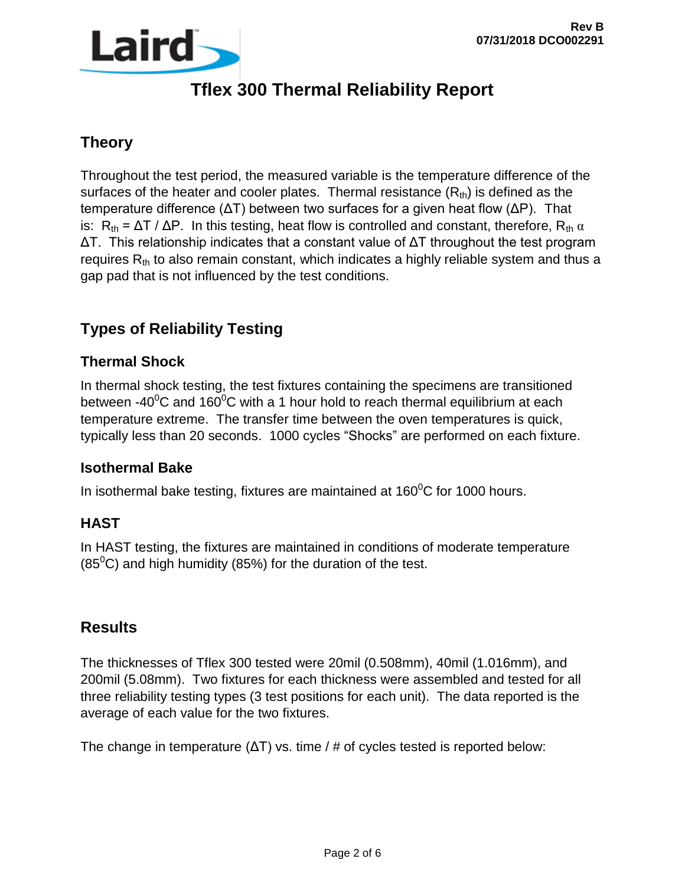

### **Theory**

Throughout the test period, the measured variable is the temperature difference of the surfaces of the heater and cooler plates. Thermal resistance  $(R<sub>th</sub>)$  is defined as the temperature difference (ΔT) between two surfaces for a given heat flow (ΔP). That is:  $R_{th} = \Delta T / \Delta P$ . In this testing, heat flow is controlled and constant, therefore,  $R_{th} \alpha$ ΔT. This relationship indicates that a constant value of ΔT throughout the test program requires  $R_{th}$  to also remain constant, which indicates a highly reliable system and thus a gap pad that is not influenced by the test conditions.

### **Types of Reliability Testing**

#### **Thermal Shock**

In thermal shock testing, the test fixtures containing the specimens are transitioned between -40 $\mathrm{^0C}$  and 160 $\mathrm{^0C}$  with a 1 hour hold to reach thermal equilibrium at each temperature extreme. The transfer time between the oven temperatures is quick, typically less than 20 seconds. 1000 cycles "Shocks" are performed on each fixture.

#### **Isothermal Bake**

In isothermal bake testing, fixtures are maintained at 160 $\mathrm{^0C}$  for 1000 hours.

#### **HAST**

In HAST testing, the fixtures are maintained in conditions of moderate temperature  $(85^{\circ}$ C) and high humidity (85%) for the duration of the test.

#### **Results**

The thicknesses of Tflex 300 tested were 20mil (0.508mm), 40mil (1.016mm), and 200mil (5.08mm). Two fixtures for each thickness were assembled and tested for all three reliability testing types (3 test positions for each unit). The data reported is the average of each value for the two fixtures.

The change in temperature  $(\Delta T)$  vs. time / # of cycles tested is reported below: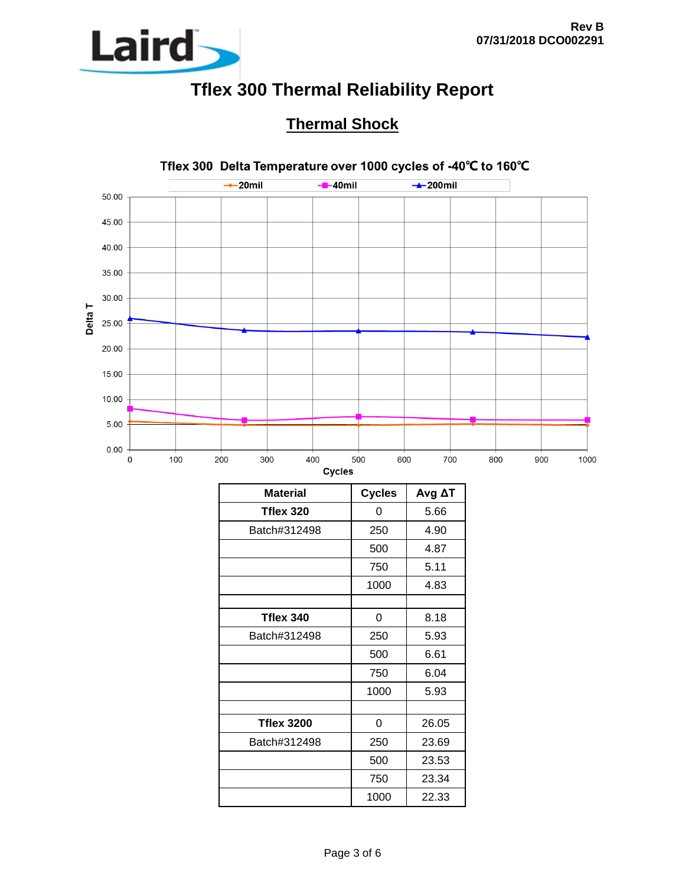

### **Thermal Shock**



| Material          | Cycles | Avg ΔT |
|-------------------|--------|--------|
| Tflex 320         | 0      | 5.66   |
| Batch#312498      | 250    | 4.90   |
|                   | 500    | 4.87   |
|                   | 750    | 5.11   |
|                   | 1000   | 4.83   |
|                   |        |        |
| Tflex 340         | 0      | 8.18   |
| Batch#312498      | 250    | 5.93   |
|                   | 500    | 6.61   |
|                   | 750    | 6.04   |
|                   | 1000   | 5.93   |
|                   |        |        |
| <b>Tflex 3200</b> | 0      | 26.05  |
| Batch#312498      | 250    | 23.69  |
|                   | 500    | 23.53  |
|                   | 750    | 23.34  |
|                   | 1000   | 22.33  |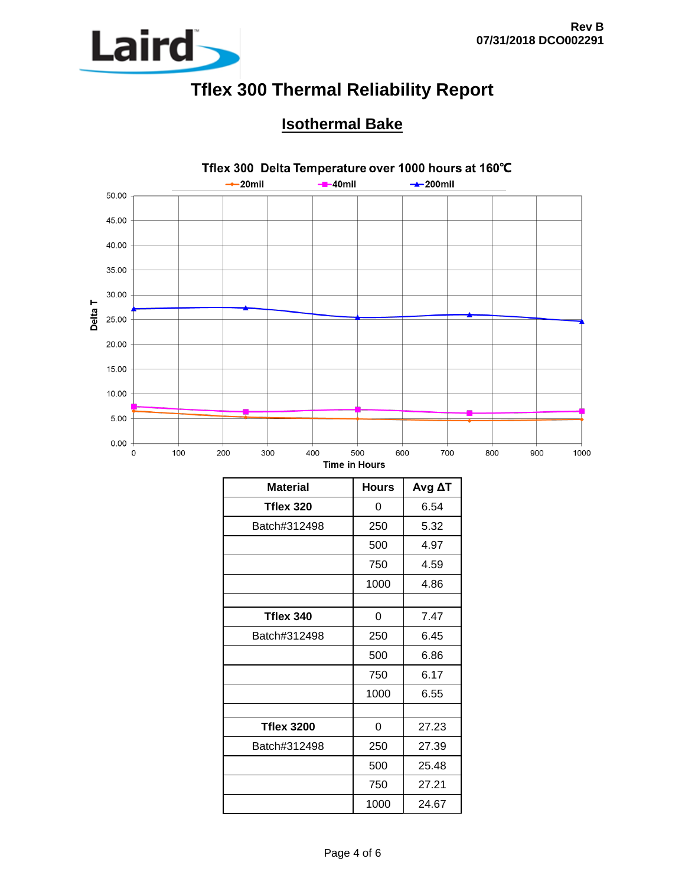

### **Isothermal Bake**



| <b>Material</b>   | <b>Hours</b> | Avg AT |
|-------------------|--------------|--------|
| Tflex 320         | 0            | 6.54   |
| Batch#312498      | 5.32<br>250  |        |
|                   | 500          | 4.97   |
|                   | 750          | 4.59   |
|                   | 1000         | 4.86   |
|                   |              |        |
| Tflex 340         | 0            | 7.47   |
| Batch#312498      | 250          | 6.45   |
|                   | 500          | 6.86   |
|                   | 750          | 6.17   |
|                   | 1000         | 6.55   |
|                   |              |        |
| <b>Tflex 3200</b> | 0            | 27.23  |
| Batch#312498      | 250          | 27.39  |
|                   | 500          | 25.48  |
|                   | 750          | 27.21  |
|                   | 1000         | 24.67  |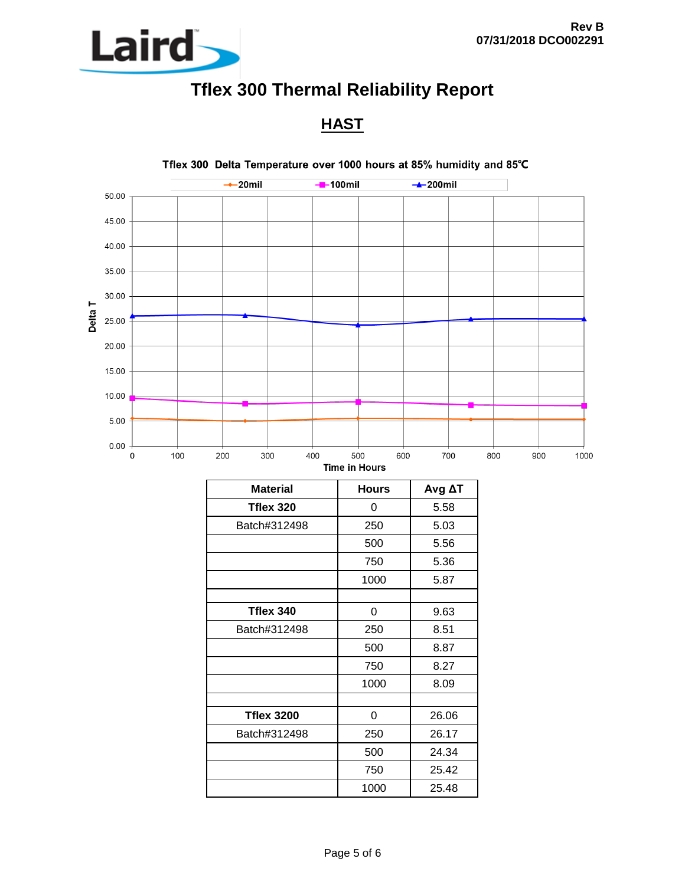

**HAST**



750 25.42 1000 25.48